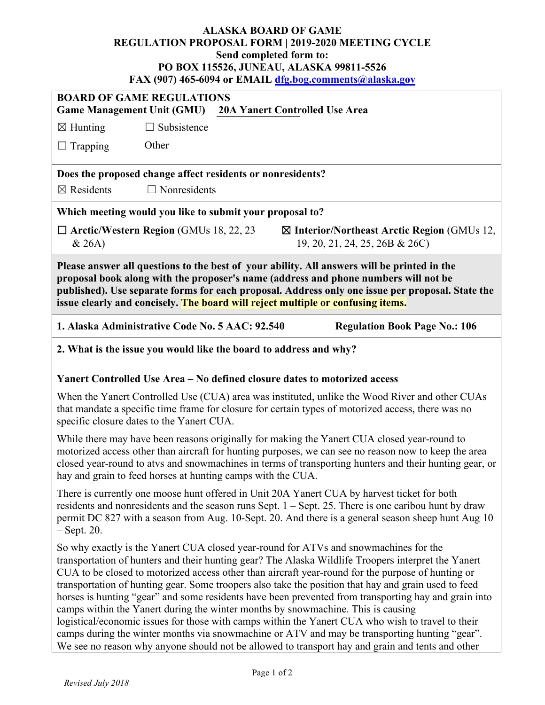## **ALASKA BOARD OF GAME REGULATION PROPOSAL FORM | 2019-2020 MEETING CYCLE Send completed form to: PO BOX 115526, JUNEAU, ALASKA 99811-5526 FAX (907) 465-6094 or EMAIL [dfg.bog.comments@alaska.gov](mailto:dfg.bog.comments@alaska.gov)**

|                                                                                                                                                                                                                                                                                                                                                                              |                                                                                  |  |  | $\frac{100}{100}$ 002 1 01 ERTHELD $\frac{100}{100}$ No. 100 EVOID INTERVAL INSTITUTE OF                                                                                                                                                                                                                                                                                                                                                                                                                                                                                                                                                                                                                                                                                                                                   |  |  |
|------------------------------------------------------------------------------------------------------------------------------------------------------------------------------------------------------------------------------------------------------------------------------------------------------------------------------------------------------------------------------|----------------------------------------------------------------------------------|--|--|----------------------------------------------------------------------------------------------------------------------------------------------------------------------------------------------------------------------------------------------------------------------------------------------------------------------------------------------------------------------------------------------------------------------------------------------------------------------------------------------------------------------------------------------------------------------------------------------------------------------------------------------------------------------------------------------------------------------------------------------------------------------------------------------------------------------------|--|--|
| <b>BOARD OF GAME REGULATIONS</b><br><b>Game Management Unit (GMU)</b><br><b>20A Yanert Controlled Use Area</b>                                                                                                                                                                                                                                                               |                                                                                  |  |  |                                                                                                                                                                                                                                                                                                                                                                                                                                                                                                                                                                                                                                                                                                                                                                                                                            |  |  |
| $\boxtimes$ Hunting                                                                                                                                                                                                                                                                                                                                                          | $\Box$ Subsistence                                                               |  |  |                                                                                                                                                                                                                                                                                                                                                                                                                                                                                                                                                                                                                                                                                                                                                                                                                            |  |  |
| $\Box$ Trapping                                                                                                                                                                                                                                                                                                                                                              | Other                                                                            |  |  |                                                                                                                                                                                                                                                                                                                                                                                                                                                                                                                                                                                                                                                                                                                                                                                                                            |  |  |
|                                                                                                                                                                                                                                                                                                                                                                              | Does the proposed change affect residents or nonresidents?                       |  |  |                                                                                                                                                                                                                                                                                                                                                                                                                                                                                                                                                                                                                                                                                                                                                                                                                            |  |  |
| $\boxtimes$ Residents                                                                                                                                                                                                                                                                                                                                                        | $\Box$ Nonresidents                                                              |  |  |                                                                                                                                                                                                                                                                                                                                                                                                                                                                                                                                                                                                                                                                                                                                                                                                                            |  |  |
| Which meeting would you like to submit your proposal to?                                                                                                                                                                                                                                                                                                                     |                                                                                  |  |  |                                                                                                                                                                                                                                                                                                                                                                                                                                                                                                                                                                                                                                                                                                                                                                                                                            |  |  |
| & 26A)                                                                                                                                                                                                                                                                                                                                                                       | $\Box$ Arctic/Western Region (GMUs 18, 22, 23                                    |  |  | $\boxtimes$ Interior/Northeast Arctic Region (GMUs 12,<br>19, 20, 21, 24, 25, 26B & 26C)                                                                                                                                                                                                                                                                                                                                                                                                                                                                                                                                                                                                                                                                                                                                   |  |  |
| Please answer all questions to the best of your ability. All answers will be printed in the<br>proposal book along with the proposer's name (address and phone numbers will not be<br>published). Use separate forms for each proposal. Address only one issue per proposal. State the<br>issue clearly and concisely. The board will reject multiple or confusing items.    |                                                                                  |  |  |                                                                                                                                                                                                                                                                                                                                                                                                                                                                                                                                                                                                                                                                                                                                                                                                                            |  |  |
|                                                                                                                                                                                                                                                                                                                                                                              | 1. Alaska Administrative Code No. 5 AAC: 92.540                                  |  |  | <b>Regulation Book Page No.: 106</b>                                                                                                                                                                                                                                                                                                                                                                                                                                                                                                                                                                                                                                                                                                                                                                                       |  |  |
| 2. What is the issue you would like the board to address and why?                                                                                                                                                                                                                                                                                                            |                                                                                  |  |  |                                                                                                                                                                                                                                                                                                                                                                                                                                                                                                                                                                                                                                                                                                                                                                                                                            |  |  |
|                                                                                                                                                                                                                                                                                                                                                                              | Yanert Controlled Use Area – No defined closure dates to motorized access        |  |  |                                                                                                                                                                                                                                                                                                                                                                                                                                                                                                                                                                                                                                                                                                                                                                                                                            |  |  |
| When the Yanert Controlled Use (CUA) area was instituted, unlike the Wood River and other CUAs<br>that mandate a specific time frame for closure for certain types of motorized access, there was no<br>specific closure dates to the Yanert CUA.                                                                                                                            |                                                                                  |  |  |                                                                                                                                                                                                                                                                                                                                                                                                                                                                                                                                                                                                                                                                                                                                                                                                                            |  |  |
| While there may have been reasons originally for making the Yanert CUA closed year-round to<br>motorized access other than aircraft for hunting purposes, we can see no reason now to keep the area<br>closed year-round to atvs and snowmachines in terms of transporting hunters and their hunting gear, or<br>hay and grain to feed horses at hunting camps with the CUA. |                                                                                  |  |  |                                                                                                                                                                                                                                                                                                                                                                                                                                                                                                                                                                                                                                                                                                                                                                                                                            |  |  |
| There is currently one moose hunt offered in Unit 20A Yanert CUA by harvest ticket for both<br>residents and nonresidents and the season runs Sept. $1 -$ Sept. 25. There is one caribou hunt by draw<br>permit DC 827 with a season from Aug. 10-Sept. 20. And there is a general season sheep hunt Aug 10<br>$-$ Sept. 20.                                                 |                                                                                  |  |  |                                                                                                                                                                                                                                                                                                                                                                                                                                                                                                                                                                                                                                                                                                                                                                                                                            |  |  |
|                                                                                                                                                                                                                                                                                                                                                                              | camps within the Yanert during the winter months by snowmachine. This is causing |  |  | So why exactly is the Yanert CUA closed year-round for ATVs and snowmachines for the<br>transportation of hunters and their hunting gear? The Alaska Wildlife Troopers interpret the Yanert<br>CUA to be closed to motorized access other than aircraft year-round for the purpose of hunting or<br>transportation of hunting gear. Some troopers also take the position that hay and grain used to feed<br>horses is hunting "gear" and some residents have been prevented from transporting hay and grain into<br>logistical/economic issues for those with camps within the Yanert CUA who wish to travel to their<br>camps during the winter months via snowmachine or ATV and may be transporting hunting "gear".<br>We see no reason why anyone should not be allowed to transport hay and grain and tents and other |  |  |